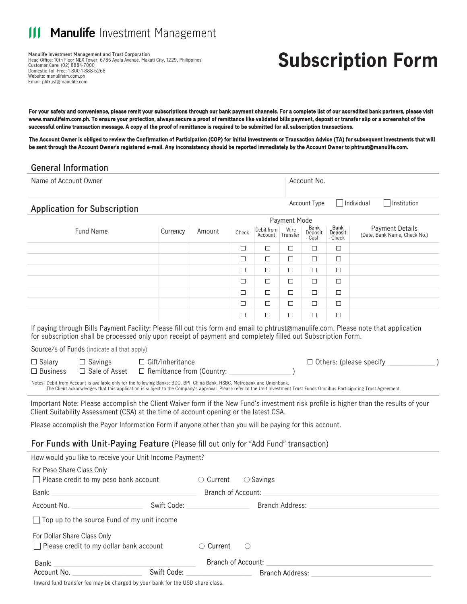#### **Manulife** Investment Management Ш

**Manulife Investment Management and Trust Corporation** Head Office: 10th Floor NEX Tower, 6786 Ayala Avenue, Makati City, 1229, Philippines Customer Care: (02) 8884-7000 Domestic Toll-Free: 1-800-1-888-6268 Website: manulifeim.com.ph Email: phtrust@manulife.com

# **Subscription Form**

For your safety and convenience, please remit your subscriptions through our bank payment channels. For a complete list of our accredited bank partners, please visit www.manulifeim.com.ph. To ensure your protection, always secure a proof of remittance like validated bills payment, deposit or transfer slip or a screenshot of the successful online transaction message. A copy of the proof of remittance is required to be submitted for all subscription transactions.

The Account Owner is obliged to review the Confirmation of Participation (COP) for initial investments or Transaction Advice (TA) for subsequent investments that will be sent through the Account Owner's registered e-mail. Any inconsistency should be reported immediately by the Account Owner to phtrust@manulife.com.

### **General Information**

| Name of Account Owner                       |                                                                                                                                                                                                                                                      |        |        |                       |                  | Account No.               |                            |                                                        |
|---------------------------------------------|------------------------------------------------------------------------------------------------------------------------------------------------------------------------------------------------------------------------------------------------------|--------|--------|-----------------------|------------------|---------------------------|----------------------------|--------------------------------------------------------|
| <b>Application for Subscription</b>         |                                                                                                                                                                                                                                                      |        |        |                       |                  | <b>Account Type</b>       |                            | Individual<br>Institution                              |
|                                             |                                                                                                                                                                                                                                                      |        |        |                       | Payment Mode     |                           |                            |                                                        |
| <b>Fund Name</b>                            | Currency                                                                                                                                                                                                                                             | Amount | Check  | Debit from<br>Account | Wire<br>Transfer | Bank<br>Deposit<br>- Cash | Bank<br>Deposit<br>- Check | <b>Payment Details</b><br>(Date, Bank Name, Check No.) |
|                                             |                                                                                                                                                                                                                                                      |        | □      | $\Box$                | ⊐                | $\Box$                    | □                          |                                                        |
|                                             |                                                                                                                                                                                                                                                      |        | □      | □                     | $\Box$           | $\Box$                    | $\Box$                     |                                                        |
|                                             |                                                                                                                                                                                                                                                      |        | □      | □                     | ⊐                | $\Box$                    | $\Box$                     |                                                        |
|                                             |                                                                                                                                                                                                                                                      |        | $\Box$ | $\Box$                | $\Box$           | $\Box$                    | $\Box$                     |                                                        |
|                                             |                                                                                                                                                                                                                                                      |        | □      | $\Box$                | □                | □                         | $\Box$                     |                                                        |
|                                             |                                                                                                                                                                                                                                                      |        | □      | П                     | $\Box$           | $\Box$                    | □                          |                                                        |
|                                             |                                                                                                                                                                                                                                                      |        | $\Box$ | □                     | ⊒                | ⊏                         | $\Box$                     |                                                        |
|                                             | If paying through Bills Payment Facility: Please fill out this form and email to phtrust@manulife.com. Please note that application<br>for subscription shall be processed only upon receipt of payment and completely filled out Subscription Form. |        |        |                       |                  |                           |                            |                                                        |
| Source/s of Funds (indicate all that apply) |                                                                                                                                                                                                                                                      |        |        |                       |                  |                           |                            |                                                        |
| $\Box$ Savings<br>$\Box$ Salary             | Gift/Inheritance                                                                                                                                                                                                                                     |        |        |                       |                  |                           |                            | $\Box$ Others: (please specify                         |

Notes: Debit from Account is available only for the following Banks: BDO, BPI, China Bank, HSBC, Metrobank and Unionbank. The Client acknowledges that this application is subject to the Company's approval. Please refer to the Unit Investment Trust Funds Omnibus Participating Trust Agreement.

 $\Box$  Remittance from (Country:  $\Box$ 

Important Note: Please accomplish the Client Waiver form if the New Fund's investment risk profile is higher than the results of your Client Suitability Assessment (CSA) at the time of account opening or the latest CSA.

Please accomplish the Payor Information Form if anyone other than you will be paying for this account.

### **For Funds with Unit-Paying Feature** (Please fill out only for "Add Fund" transaction)

| How would you like to receive your Unit Income Payment?                                                                                                                                                                        |                                             |                    |                    |  |
|--------------------------------------------------------------------------------------------------------------------------------------------------------------------------------------------------------------------------------|---------------------------------------------|--------------------|--------------------|--|
| For Peso Share Class Only<br>$\Box$ Please credit to my peso bank account                                                                                                                                                      |                                             | $\circ$ Current    | $\bigcirc$ Savings |  |
| Bank:                                                                                                                                                                                                                          |                                             | Branch of Account: |                    |  |
| Account No.                                                                                                                                                                                                                    | Swift Code: New York Swift Code:            |                    | Branch Address:    |  |
| $\Box$ Top up to the source Fund of my unit income                                                                                                                                                                             |                                             |                    |                    |  |
| For Dollar Share Class Only                                                                                                                                                                                                    |                                             |                    |                    |  |
| $\Box$ Please credit to my dollar bank account                                                                                                                                                                                 |                                             | $\bigcirc$ Current |                    |  |
| Bank:                                                                                                                                                                                                                          |                                             | Branch of Account: |                    |  |
| Account No.                                                                                                                                                                                                                    | Swift Code: <u>________________________</u> |                    | Branch Address:    |  |
| $\mathbf{r} = \mathbf{r} \cdot \mathbf{r}$ , $\mathbf{r} = \mathbf{r} \cdot \mathbf{r}$ , $\mathbf{r} = \mathbf{r} \cdot \mathbf{r}$ , $\mathbf{r} = \mathbf{r} \cdot \mathbf{r}$ , $\mathbf{r} = \mathbf{r} \cdot \mathbf{r}$ |                                             |                    |                    |  |

Inward fund transfer fee may be charged by your bank for the USD share class.

 $\Box$  Sale of Asset

**□** Business